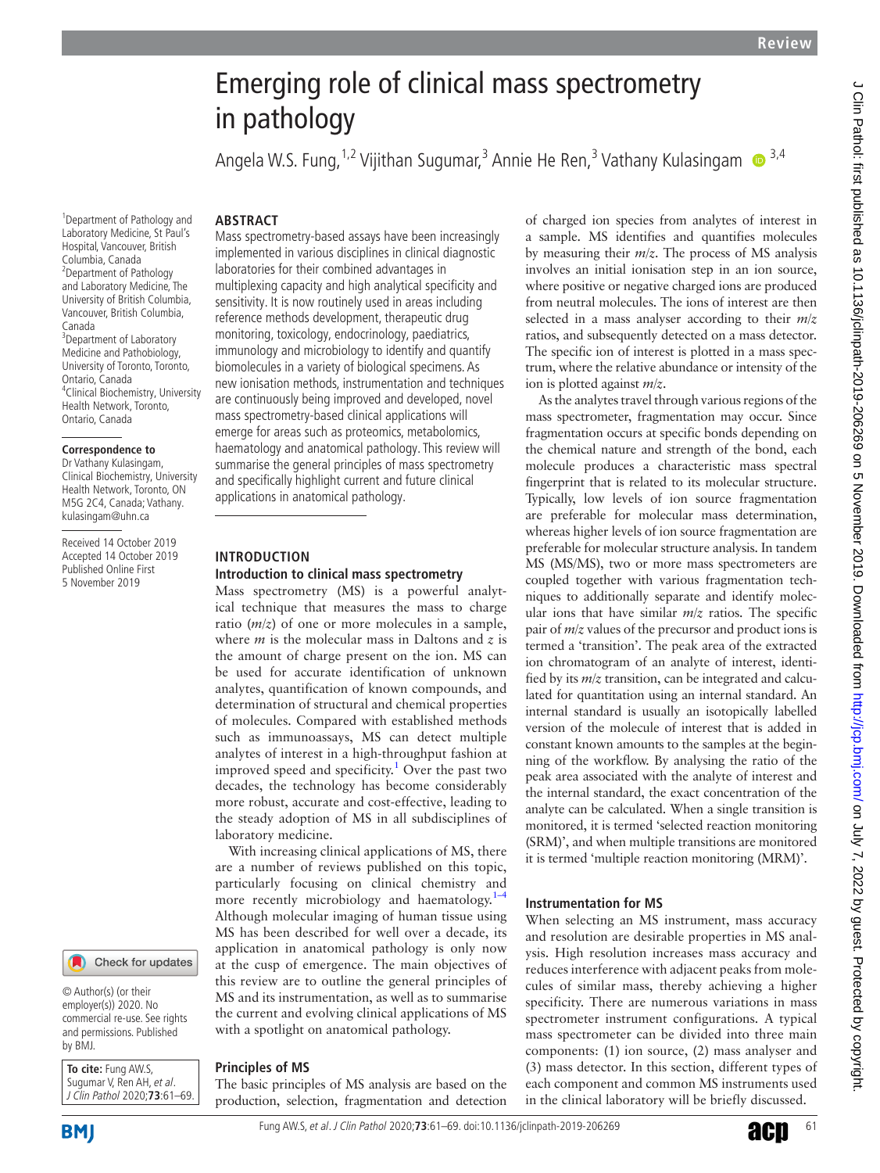# Emerging role of clinical mass spectrometry in pathology

Angela W.S. Fung, <sup>1,2</sup> Vijithan Sugumar, <sup>3</sup> Annie He Ren, <sup>3</sup> Vathany Kulasingam <sup>1, 3,4</sup>

## **ARSTRACT**

1 Department of Pathology and Laboratory Medicine, St Paul's Hospital, Vancouver, British Columbia, Canada <sup>2</sup> Department of Pathology and Laboratory Medicine, The University of British Columbia, Vancouver, British Columbia, Canada <sup>3</sup>Department of Laboratory Medicine and Pathobiology, University of Toronto, Toronto, Ontario, Canada 4 Clinical Biochemistry, University Health Network, Toronto, Ontario, Canada

#### **Correspondence to**

Dr Vathany Kulasingam, Clinical Biochemistry, University Health Network, Toronto, ON M5G 2C4, Canada; Vathany. kulasingam@uhn.ca

Received 14 October 2019 Accepted 14 October 2019 Published Online First 5 November 2019



© Author(s) (or their employer(s)) 2020. No commercial re-use. See rights and permissions. Published by BMJ.

**To cite:** Fung AW.S, Sugumar V, Ren AH, et al. J Clin Pathol 2020;**73**:61–69. Mass spectrometry-based assays have been increasingly implemented in various disciplines in clinical diagnostic laboratories for their combined advantages in multiplexing capacity and high analytical specificity and sensitivity. It is now routinely used in areas including reference methods development, therapeutic drug monitoring, toxicology, endocrinology, paediatrics, immunology and microbiology to identify and quantify biomolecules in a variety of biological specimens. As new ionisation methods, instrumentation and techniques are continuously being improved and developed, novel mass spectrometry-based clinical applications will emerge for areas such as proteomics, metabolomics, haematology and anatomical pathology. This review will summarise the general principles of mass spectrometry and specifically highlight current and future clinical applications in anatomical pathology.

# **Introduction Introduction to clinical mass spectrometry**

Mass spectrometry (MS) is a powerful analytical technique that measures the mass to charge ratio (*m/z*) of one or more molecules in a sample, where *m* is the molecular mass in Daltons and *z* is the amount of charge present on the ion. MS can be used for accurate identification of unknown analytes, quantification of known compounds, and determination of structural and chemical properties of molecules. Compared with established methods such as immunoassays, MS can detect multiple analytes of interest in a high-throughput fashion at improved speed and specificity.<sup>[1](#page-6-0)</sup> Over the past two decades, the technology has become considerably more robust, accurate and cost-effective, leading to the steady adoption of MS in all subdisciplines of laboratory medicine.

With increasing clinical applications of MS, there are a number of reviews published on this topic, particularly focusing on clinical chemistry and more recently microbiology and haematology. $1-4$ Although molecular imaging of human tissue using MS has been described for well over a decade, its application in anatomical pathology is only now at the cusp of emergence. The main objectives of this review are to outline the general principles of MS and its instrumentation, as well as to summarise the current and evolving clinical applications of MS with a spotlight on anatomical pathology.

## **Principles of MS**

The basic principles of MS analysis are based on the production, selection, fragmentation and detection of charged ion species from analytes of interest in a sample. MS identifies and quantifies molecules by measuring their *m/z*. The process of MS analysis involves an initial ionisation step in an ion source, where positive or negative charged ions are produced from neutral molecules. The ions of interest are then selected in a mass analyser according to their *m/z* ratios, and subsequently detected on a mass detector. The specific ion of interest is plotted in a mass spectrum, where the relative abundance or intensity of the ion is plotted against *m/z*.

As the analytes travel through various regions of the mass spectrometer, fragmentation may occur. Since fragmentation occurs at specific bonds depending on the chemical nature and strength of the bond, each molecule produces a characteristic mass spectral fingerprint that is related to its molecular structure. Typically, low levels of ion source fragmentation are preferable for molecular mass determination, whereas higher levels of ion source fragmentation are preferable for molecular structure analysis. In tandem MS (MS/MS), two or more mass spectrometers are coupled together with various fragmentation techniques to additionally separate and identify molecular ions that have similar *m/z* ratios. The specific pair of *m/z* values of the precursor and product ions is termed a 'transition'. The peak area of the extracted ion chromatogram of an analyte of interest, identified by its *m/z* transition, can be integrated and calculated for quantitation using an internal standard. An internal standard is usually an isotopically labelled version of the molecule of interest that is added in constant known amounts to the samples at the beginning of the workflow. By analysing the ratio of the peak area associated with the analyte of interest and the internal standard, the exact concentration of the analyte can be calculated. When a single transition is monitored, it is termed 'selected reaction monitoring (SRM)', and when multiple transitions are monitored it is termed 'multiple reaction monitoring (MRM)'.

## **Instrumentation for MS**

When selecting an MS instrument, mass accuracy and resolution are desirable properties in MS analysis. High resolution increases mass accuracy and reduces interference with adjacent peaks from molecules of similar mass, thereby achieving a higher specificity. There are numerous variations in mass spectrometer instrument configurations. A typical mass spectrometer can be divided into three main components: (1) ion source, (2) mass analyser and (3) mass detector. In this section, different types of each component and common MS instruments used in the clinical laboratory will be briefly discussed.



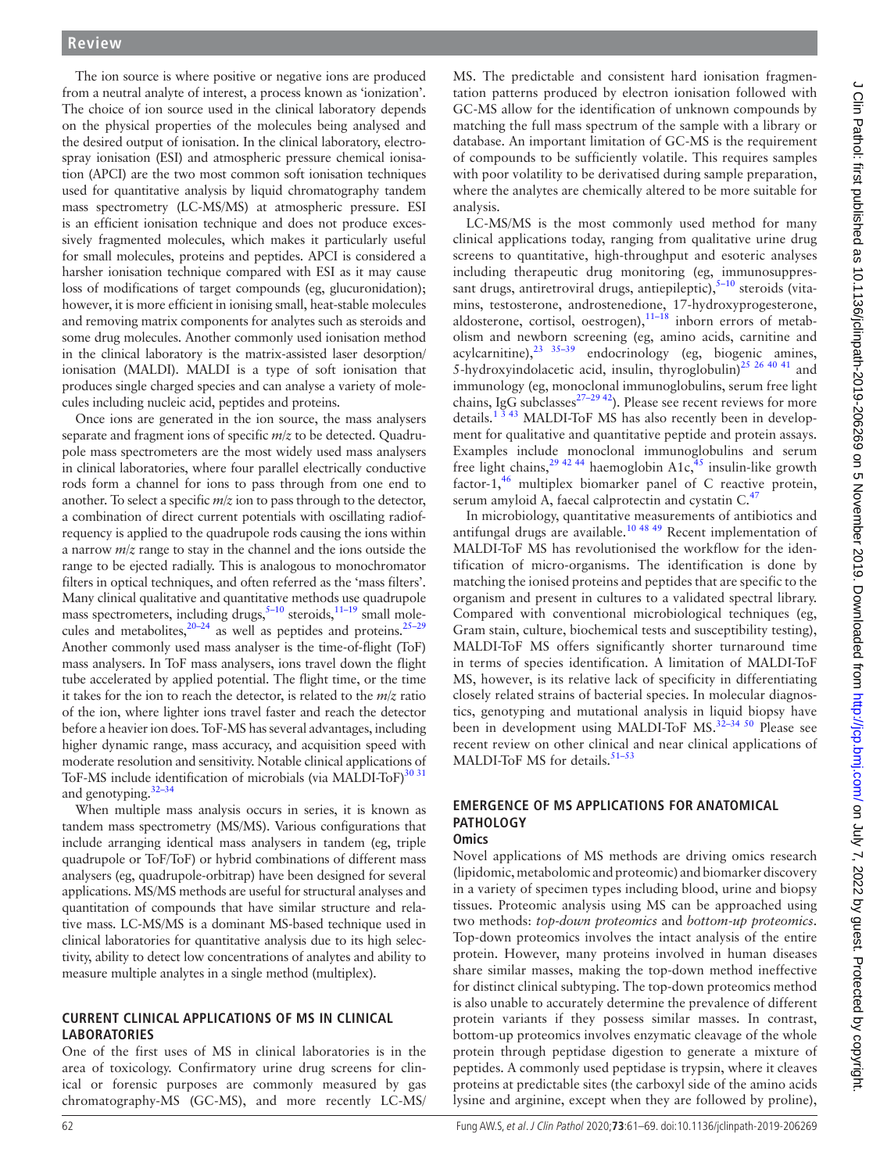The ion source is where positive or negative ions are produced from a neutral analyte of interest, a process known as 'ionization'. The choice of ion source used in the clinical laboratory depends on the physical properties of the molecules being analysed and the desired output of ionisation. In the clinical laboratory, electrospray ionisation (ESI) and atmospheric pressure chemical ionisation (APCI) are the two most common soft ionisation techniques used for quantitative analysis by liquid chromatography tandem mass spectrometry (LC-MS/MS) at atmospheric pressure. ESI is an efficient ionisation technique and does not produce excessively fragmented molecules, which makes it particularly useful for small molecules, proteins and peptides. APCI is considered a harsher ionisation technique compared with ESI as it may cause loss of modifications of target compounds (eg, glucuronidation); however, it is more efficient in ionising small, heat-stable molecules and removing matrix components for analytes such as steroids and some drug molecules. Another commonly used ionisation method in the clinical laboratory is the matrix-assisted laser desorption/ ionisation (MALDI). MALDI is a type of soft ionisation that produces single charged species and can analyse a variety of molecules including nucleic acid, peptides and proteins.

Once ions are generated in the ion source, the mass analysers separate and fragment ions of specific *m/z* to be detected. Quadrupole mass spectrometers are the most widely used mass analysers in clinical laboratories, where four parallel electrically conductive rods form a channel for ions to pass through from one end to another. To select a specific *m/z* ion to pass through to the detector, a combination of direct current potentials with oscillating radiofrequency is applied to the quadrupole rods causing the ions within a narrow *m/z* range to stay in the channel and the ions outside the range to be ejected radially. This is analogous to monochromator filters in optical techniques, and often referred as the 'mass filters'. Many clinical qualitative and quantitative methods use quadrupole mass spectrometers, including drugs,  $5-10$  steroids,  $11-19$  small molecules and metabolites,  $20-24$  as well as peptides and proteins.  $25-29$ Another commonly used mass analyser is the time-of-flight (ToF) mass analysers. In ToF mass analysers, ions travel down the flight tube accelerated by applied potential. The flight time, or the time it takes for the ion to reach the detector, is related to the *m/z* ratio of the ion, where lighter ions travel faster and reach the detector before a heavier ion does. ToF-MS has several advantages, including higher dynamic range, mass accuracy, and acquisition speed with moderate resolution and sensitivity. Notable clinical applications of ToF-MS include identification of microbials (via MALDI-ToF)<sup>[30 31](#page-6-5)</sup> and genotyping. $32-34$ 

When multiple mass analysis occurs in series, it is known as tandem mass spectrometry (MS/MS). Various configurations that include arranging identical mass analysers in tandem (eg, triple quadrupole or ToF/ToF) or hybrid combinations of different mass analysers (eg, quadrupole-orbitrap) have been designed for several applications. MS/MS methods are useful for structural analyses and quantitation of compounds that have similar structure and relative mass. LC-MS/MS is a dominant MS-based technique used in clinical laboratories for quantitative analysis due to its high selectivity, ability to detect low concentrations of analytes and ability to measure multiple analytes in a single method (multiplex).

## **Current clinical applications of MS in clinical laboratories**

One of the first uses of MS in clinical laboratories is in the area of toxicology. Confirmatory urine drug screens for clinical or forensic purposes are commonly measured by gas chromatography-MS (GC-MS), and more recently LC-MS/ MS. The predictable and consistent hard ionisation fragmentation patterns produced by electron ionisation followed with GC-MS allow for the identification of unknown compounds by matching the full mass spectrum of the sample with a library or database. An important limitation of GC-MS is the requirement of compounds to be sufficiently volatile. This requires samples with poor volatility to be derivatised during sample preparation, where the analytes are chemically altered to be more suitable for analysis.

LC-MS/MS is the most commonly used method for many clinical applications today, ranging from qualitative urine drug screens to quantitative, high-throughput and esoteric analyses including therapeutic drug monitoring (eg, immunosuppressant drugs, antiretroviral drugs, antiepileptic), $5-10$  steroids (vitamins, testosterone, androstenedione, 17-hydroxyprogesterone, aldosterone, cortisol, oestrogen), $11-18$  inborn errors of metabolism and newborn screening (eg, amino acids, carnitine and acylcarnitine),  $23 \times 35-39$  endocrinology (eg, biogenic amines, 5-hydroxyindolacetic acid, insulin, thyroglobulin)<sup>25</sup> 26 40 41 and immunology (eg, monoclonal immunoglobulins, serum free light chains, IgG subclasses<sup>27-29 42</sup>). Please see recent reviews for more details.<sup>13 43</sup> MALDI-ToF MS has also recently been in development for qualitative and quantitative peptide and protein assays. Examples include monoclonal immunoglobulins and serum free light chains,<sup>29 42 44</sup> haemoglobin A1c,<sup>45</sup> insulin-like growth factor-1, $46$  multiplex biomarker panel of C reactive protein, serum amyloid A, faecal calprotectin and cystatin  $C<sup>47</sup>$  $C<sup>47</sup>$  $C<sup>47</sup>$ 

In microbiology, quantitative measurements of antibiotics and antifungal drugs are available.<sup>10 48 49</sup> Recent implementation of MALDI-ToF MS has revolutionised the workflow for the identification of micro-organisms. The identification is done by matching the ionised proteins and peptides that are specific to the organism and present in cultures to a validated spectral library. Compared with conventional microbiological techniques (eg, Gram stain, culture, biochemical tests and susceptibility testing), MALDI-ToF MS offers significantly shorter turnaround time in terms of species identification. A limitation of MALDI-ToF MS, however, is its relative lack of specificity in differentiating closely related strains of bacterial species. In molecular diagnostics, genotyping and mutational analysis in liquid biopsy have been in development using MALDI-ToF MS.<sup>32-34 50</sup> Please see recent review on other clinical and near clinical applications of MALDI-ToF MS for details.<sup>51-53</sup>

# **Emergence of MS applications for anatomical PATHOLOGY**

**Omics**

Novel applications of MS methods are driving omics research (lipidomic, metabolomic and proteomic) and biomarker discovery in a variety of specimen types including blood, urine and biopsy tissues. Proteomic analysis using MS can be approached using two methods: *top-down proteomics* and *bottom-up proteomics*. Top-down proteomics involves the intact analysis of the entire protein. However, many proteins involved in human diseases share similar masses, making the top-down method ineffective for distinct clinical subtyping. The top-down proteomics method is also unable to accurately determine the prevalence of different protein variants if they possess similar masses. In contrast, bottom-up proteomics involves enzymatic cleavage of the whole protein through peptidase digestion to generate a mixture of peptides. A commonly used peptidase is trypsin, where it cleaves proteins at predictable sites (the carboxyl side of the amino acids lysine and arginine, except when they are followed by proline),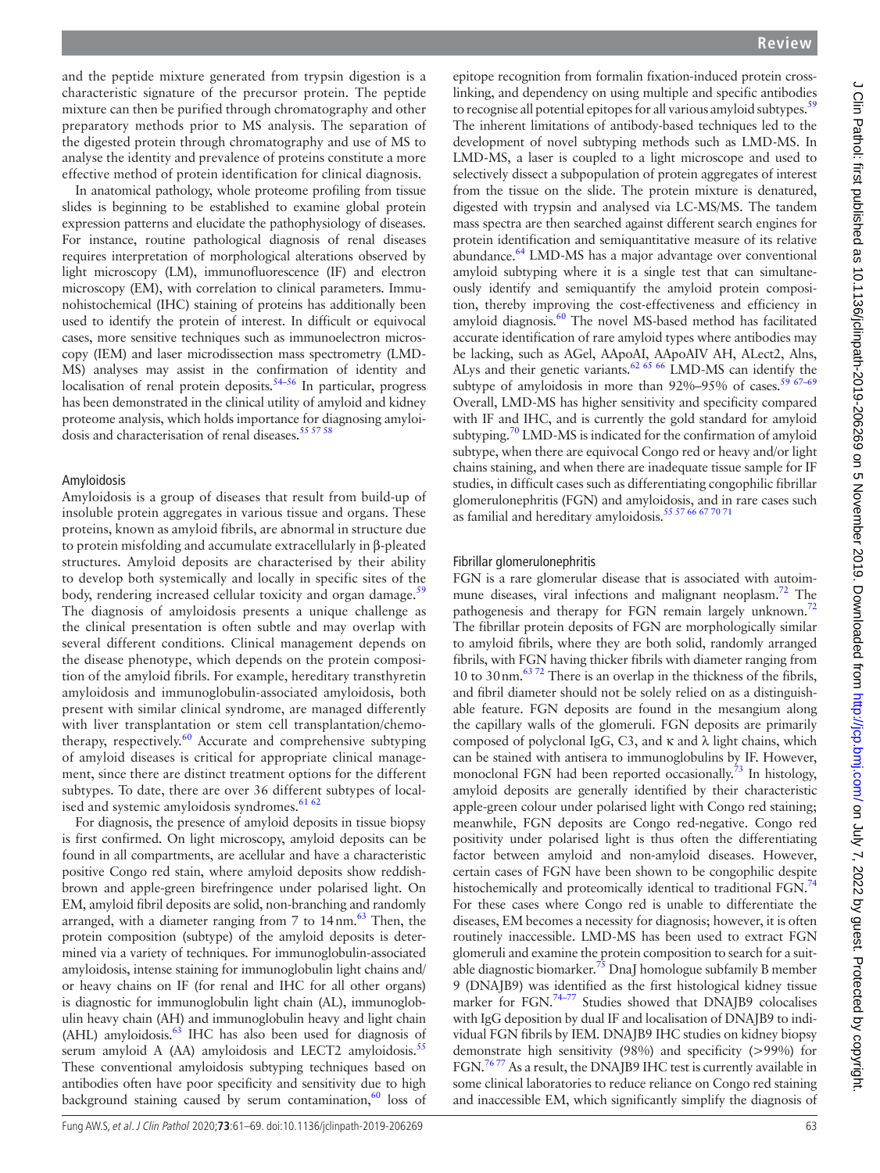In anatomical pathology, whole proteome profiling from tissue slides is beginning to be established to examine global protein expression patterns and elucidate the pathophysiology of diseases. For instance, routine pathological diagnosis of renal diseases requires interpretation of morphological alterations observed by light microscopy (LM), immunofluorescence (IF) and electron microscopy (EM), with correlation to clinical parameters. Immunohistochemical (IHC) staining of proteins has additionally been used to identify the protein of interest. In difficult or equivocal cases, more sensitive techniques such as immunoelectron microscopy (IEM) and laser microdissection mass spectrometry (LMD-MS) analyses may assist in the confirmation of identity and localisation of renal protein deposits.<sup>54–56</sup> In particular, progress</sup> has been demonstrated in the clinical utility of amyloid and kidney proteome analysis, which holds importance for diagnosing amyloi-dosis and characterisation of renal diseases.<sup>[55 57 58](#page-7-5)</sup>

## Amyloidosis

Amyloidosis is a group of diseases that result from build-up of insoluble protein aggregates in various tissue and organs. These proteins, known as amyloid fibrils, are abnormal in structure due to protein misfolding and accumulate extracellularly in β-pleated structures. Amyloid deposits are characterised by their ability to develop both systemically and locally in specific sites of the body, rendering increased cellular toxicity and organ damage.<sup>[59](#page-7-6)</sup> The diagnosis of amyloidosis presents a unique challenge as the clinical presentation is often subtle and may overlap with several different conditions. Clinical management depends on the disease phenotype, which depends on the protein composition of the amyloid fibrils. For example, hereditary transthyretin amyloidosis and immunoglobulin-associated amyloidosis, both present with similar clinical syndrome, are managed differently with liver transplantation or stem cell transplantation/chemotherapy, respectively.<sup>60</sup> Accurate and comprehensive subtyping of amyloid diseases is critical for appropriate clinical management, since there are distinct treatment options for the different subtypes. To date, there are over 36 different subtypes of local-ised and systemic amyloidosis syndromes.<sup>[61 62](#page-7-8)</sup>

For diagnosis, the presence of amyloid deposits in tissue biopsy is first confirmed. On light microscopy, amyloid deposits can be found in all compartments, are acellular and have a characteristic positive Congo red stain, where amyloid deposits show reddishbrown and apple-green birefringence under polarised light. On EM, amyloid fibril deposits are solid, non-branching and randomly arranged, with a diameter ranging from  $7$  to  $14$ nm.<sup>[63](#page-7-9)</sup> Then, the protein composition (subtype) of the amyloid deposits is determined via a variety of techniques. For immunoglobulin-associated amyloidosis, intense staining for immunoglobulin light chains and/ or heavy chains on IF (for renal and IHC for all other organs) is diagnostic for immunoglobulin light chain (AL), immunoglobulin heavy chain (AH) and immunoglobulin heavy and light chain  $(AHL)$  amyloidosis.<sup>[63](#page-7-9)</sup> IHC has also been used for diagnosis of serum amyloid A (AA) amyloidosis and LECT2 amyloidosis.<sup>55</sup> These conventional amyloidosis subtyping techniques based on antibodies often have poor specificity and sensitivity due to high background staining caused by serum contamination, $60 \text{ loss of}$ 

epitope recognition from formalin fixation-induced protein crosslinking, and dependency on using multiple and specific antibodies to recognise all potential epitopes for all various amyloid subtypes.<sup>[59](#page-7-6)</sup> The inherent limitations of antibody-based techniques led to the development of novel subtyping methods such as LMD-MS. In LMD-MS, a laser is coupled to a light microscope and used to selectively dissect a subpopulation of protein aggregates of interest from the tissue on the slide. The protein mixture is denatured, digested with trypsin and analysed via LC-MS/MS. The tandem mass spectra are then searched against different search engines for protein identification and semiquantitative measure of its relative abundance.<sup>64</sup> LMD-MS has a major advantage over conventional amyloid subtyping where it is a single test that can simultaneously identify and semiquantify the amyloid protein composition, thereby improving the cost-effectiveness and efficiency in amyloid diagnosis.<sup>[60](#page-7-7)</sup> The novel MS-based method has facilitated accurate identification of rare amyloid types where antibodies may be lacking, such as AGel, AApoAI, AApoAIV AH, ALect2, Alns, ALys and their genetic variants.<sup>[62 65 66](#page-7-11)</sup> LMD-MS can identify the subtype of amyloidosis in more than  $92\% - 95\%$  of cases.<sup>5967-69</sup> Overall, LMD-MS has higher sensitivity and specificity compared with IF and IHC, and is currently the gold standard for amyloid subtyping.<sup>70</sup> LMD-MS is indicated for the confirmation of amyloid subtype, when there are equivocal Congo red or heavy and/or light chains staining, and when there are inadequate tissue sample for IF studies, in difficult cases such as differentiating congophilic fibrillar glomerulonephritis (FGN) and amyloidosis, and in rare cases such as familial and hereditary amyloidosis.<sup>55 57 66 67 70 71</sup>

## Fibrillar glomerulonephritis

FGN is a rare glomerular disease that is associated with autoimmune diseases, viral infections and malignant neoplasm.<sup>72</sup> The pathogenesis and therapy for FGN remain largely unknown.<sup>[72](#page-7-13)</sup> The fibrillar protein deposits of FGN are morphologically similar to amyloid fibrils, where they are both solid, randomly arranged fibrils, with FGN having thicker fibrils with diameter ranging from 10 to 30 nm. $^{6372}$  There is an overlap in the thickness of the fibrils, and fibril diameter should not be solely relied on as a distinguishable feature. FGN deposits are found in the mesangium along the capillary walls of the glomeruli. FGN deposits are primarily composed of polyclonal IgG, C3, and κ and λ light chains, which can be stained with antisera to immunoglobulins by IF. However, monoclonal FGN had been reported occasionally.<sup>73</sup> In histology, amyloid deposits are generally identified by their characteristic apple-green colour under polarised light with Congo red staining; meanwhile, FGN deposits are Congo red-negative. Congo red positivity under polarised light is thus often the differentiating factor between amyloid and non-amyloid diseases. However, certain cases of FGN have been shown to be congophilic despite histochemically and proteomically identical to traditional FGN.<sup>[74](#page-7-15)</sup> For these cases where Congo red is unable to differentiate the diseases, EM becomes a necessity for diagnosis; however, it is often routinely inaccessible. LMD-MS has been used to extract FGN glomeruli and examine the protein composition to search for a suit-able diagnostic biomarker.<sup>[75](#page-7-16)</sup> DnaJ homologue subfamily B member 9 (DNAJB9) was identified as the first histological kidney tissue marker for FGN.<sup>74-77</sup> Studies showed that DNAJB9 colocalises with IgG deposition by dual IF and localisation of DNAJB9 to individual FGN fibrils by IEM. DNAJB9 IHC studies on kidney biopsy demonstrate high sensitivity (98%) and specificity (>99%) for FGN.<sup>7677</sup> As a result, the DNAJB9 IHC test is currently available in some clinical laboratories to reduce reliance on Congo red staining and inaccessible EM, which significantly simplify the diagnosis of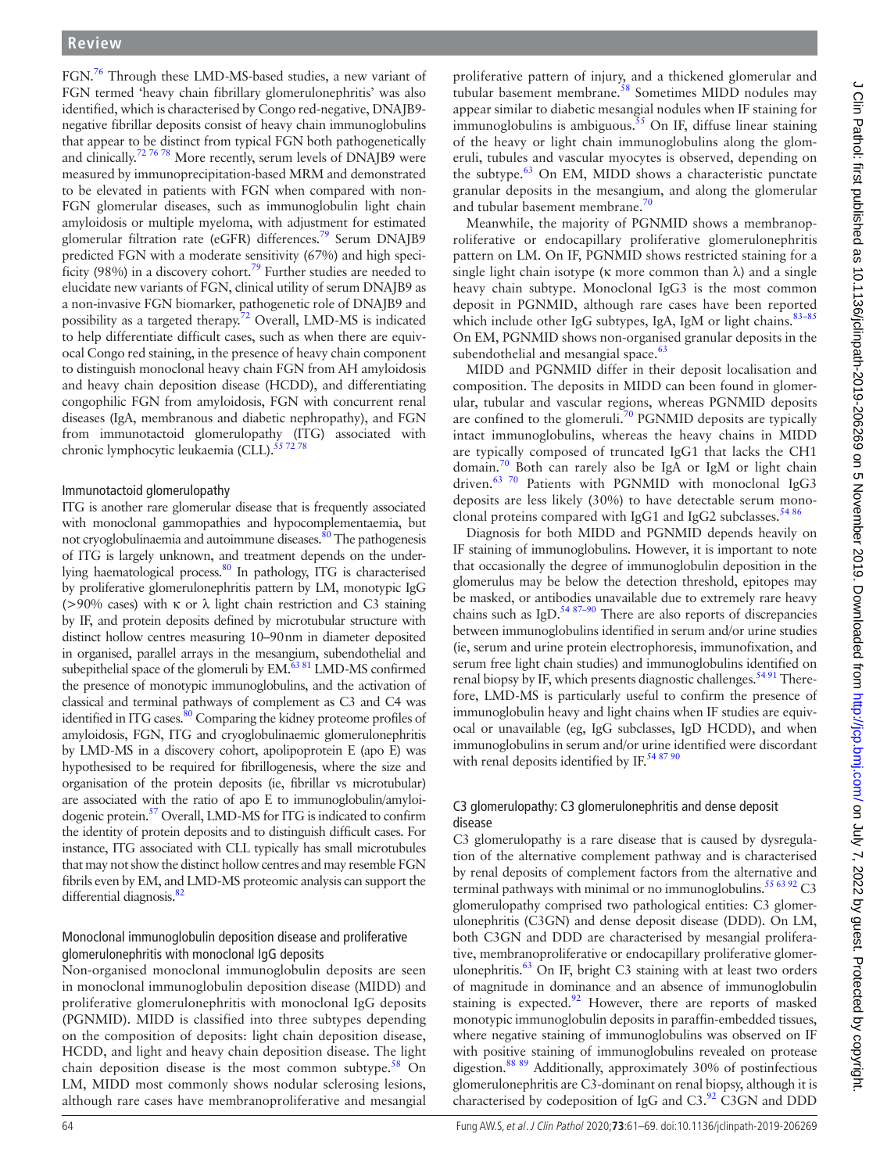**Review**

FGN.<sup>76</sup> Through these LMD-MS-based studies, a new variant of FGN termed 'heavy chain fibrillary glomerulonephritis' was also identified, which is characterised by Congo red-negative, DNAJB9 negative fibrillar deposits consist of heavy chain immunoglobulins that appear to be distinct from typical FGN both pathogenetically and clinically.<sup>72 76 78</sup> More recently, serum levels of DNAJB9 were measured by immunoprecipitation-based MRM and demonstrated to be elevated in patients with FGN when compared with non-FGN glomerular diseases, such as immunoglobulin light chain amyloidosis or multiple myeloma, with adjustment for estimated glomerular filtration rate (eGFR) differences.<sup>[79](#page-7-18)</sup> Serum DNAJB9 predicted FGN with a moderate sensitivity (67%) and high specificity (98%) in a discovery cohort[.79](#page-7-18) Further studies are needed to elucidate new variants of FGN, clinical utility of serum DNAJB9 as a non-invasive FGN biomarker, pathogenetic role of DNAJB9 and possibility as a targeted therapy[.72](#page-7-13) Overall, LMD-MS is indicated to help differentiate difficult cases, such as when there are equivocal Congo red staining, in the presence of heavy chain component to distinguish monoclonal heavy chain FGN from AH amyloidosis and heavy chain deposition disease (HCDD), and differentiating congophilic FGN from amyloidosis, FGN with concurrent renal diseases (IgA, membranous and diabetic nephropathy), and FGN from immunotactoid glomerulopathy (ITG) associated with chronic lymphocytic leukaemia (CLL).<sup>55 72</sup>

## Immunotactoid glomerulopathy

ITG is another rare glomerular disease that is frequently associated with monoclonal gammopathies and hypocomplementaemia, but not cryoglobulinaemia and autoimmune diseases.<sup>80</sup> The pathogenesis of ITG is largely unknown, and treatment depends on the underlying haematological process.<sup>80</sup> In pathology, ITG is characterised by proliferative glomerulonephritis pattern by LM, monotypic IgG (>90% cases) with κ or λ light chain restriction and C3 staining by IF, and protein deposits defined by microtubular structure with distinct hollow centres measuring 10–90nm in diameter deposited in organised, parallel arrays in the mesangium, subendothelial and subepithelial space of the glomeruli by EM.<sup>63 81</sup> LMD-MS confirmed the presence of monotypic immunoglobulins, and the activation of classical and terminal pathways of complement as C3 and C4 was identified in ITG cases.<sup>80</sup> Comparing the kidney proteome profiles of amyloidosis, FGN, ITG and cryoglobulinaemic glomerulonephritis by LMD-MS in a discovery cohort, apolipoprotein E (apo E) was hypothesised to be required for fibrillogenesis, where the size and organisation of the protein deposits (ie, fibrillar vs microtubular) are associated with the ratio of apo E to immunoglobulin/amyloi-dogenic protein.<sup>[57](#page-7-20)</sup> Overall, LMD-MS for ITG is indicated to confirm the identity of protein deposits and to distinguish difficult cases. For instance, ITG associated with CLL typically has small microtubules that may not show the distinct hollow centres and may resemble FGN fibrils even by EM, and LMD-MS proteomic analysis can support the differential diagnosis.<sup>[82](#page-7-21)</sup>

# Monoclonal immunoglobulin deposition disease and proliferative glomerulonephritis with monoclonal IgG deposits

Non-organised monoclonal immunoglobulin deposits are seen in monoclonal immunoglobulin deposition disease (MIDD) and proliferative glomerulonephritis with monoclonal IgG deposits (PGNMID). MIDD is classified into three subtypes depending on the composition of deposits: light chain deposition disease, HCDD, and light and heavy chain deposition disease. The light chain deposition disease is the most common subtype.<sup>58</sup> On LM, MIDD most commonly shows nodular sclerosing lesions, although rare cases have membranoproliferative and mesangial

proliferative pattern of injury, and a thickened glomerular and tubular basement membrane.<sup>58</sup> Sometimes MIDD nodules may appear similar to diabetic mesangial nodules when IF staining for  $\overline{\text{immunoglobulins}}$  is ambiguous.<sup>55</sup> On IF, diffuse linear staining of the heavy or light chain immunoglobulins along the glomeruli, tubules and vascular myocytes is observed, depending on the subtype. $63$  On EM, MIDD shows a characteristic punctate granular deposits in the mesangium, and along the glomerular and tubular basement membrane.<sup>70</sup>

Meanwhile, the majority of PGNMID shows a membranoproliferative or endocapillary proliferative glomerulonephritis pattern on LM. On IF, PGNMID shows restricted staining for a single light chain isotype ( $\kappa$  more common than  $\lambda$ ) and a single heavy chain subtype. Monoclonal IgG3 is the most common deposit in PGNMID, although rare cases have been reported which include other IgG subtypes, IgA, IgM or light chains.  $83-85$ On EM, PGNMID shows non-organised granular deposits in the subendothelial and mesangial space.<sup>63</sup>

MIDD and PGNMID differ in their deposit localisation and composition. The deposits in MIDD can been found in glomerular, tubular and vascular regions, whereas PGNMID deposits are confined to the glomeruli.<sup>70</sup> PGNMID deposits are typically intact immunoglobulins, whereas the heavy chains in MIDD are typically composed of truncated IgG1 that lacks the CH1 domain[.70](#page-7-12) Both can rarely also be IgA or IgM or light chain driven.<sup>63 70</sup> Patients with PGNMID with monoclonal IgG3 deposits are less likely (30%) to have detectable serum monoclonal proteins compared with IgG1 and IgG2 subclasses.<sup>54 86</sup>

Diagnosis for both MIDD and PGNMID depends heavily on IF staining of immunoglobulins. However, it is important to note that occasionally the degree of immunoglobulin deposition in the glomerulus may be below the detection threshold, epitopes may be masked, or antibodies unavailable due to extremely rare heavy chains such as IgD.<sup>54 87–90</sup> There are also reports of discrepancies between immunoglobulins identified in serum and/or urine studies (ie, serum and urine protein electrophoresis, immunofixation, and serum free light chain studies) and immunoglobulins identified on renal biopsy by IF, which presents diagnostic challenges.<sup> $5491$ </sup> Therefore, LMD-MS is particularly useful to confirm the presence of immunoglobulin heavy and light chains when IF studies are equivocal or unavailable (eg, IgG subclasses, IgD HCDD), and when immunoglobulins in serum and/or urine identified were discordant with renal deposits identified by IF. $54879$ 

# C3 glomerulopathy: C3 glomerulonephritis and dense deposit disease

C3 glomerulopathy is a rare disease that is caused by dysregulation of the alternative complement pathway and is characterised by renal deposits of complement factors from the alternative and terminal pathways with minimal or no immunoglobulins.<sup>55 63 92</sup> C3 glomerulopathy comprised two pathological entities: C3 glomerulonephritis (C3GN) and dense deposit disease (DDD). On LM, both C3GN and DDD are characterised by mesangial proliferative, membranoproliferative or endocapillary proliferative glomerulonephritis. $63$  On IF, bright C3 staining with at least two orders of magnitude in dominance and an absence of immunoglobulin staining is expected. $92$  However, there are reports of masked monotypic immunoglobulin deposits in paraffin-embedded tissues, where negative staining of immunoglobulins was observed on IF with positive staining of immunoglobulins revealed on protease digestion.<sup>88 89</sup> Additionally, approximately 30% of postinfectious glomerulonephritis are C3-dominant on renal biopsy, although it is characterised by codeposition of IgG and C3.<sup>[92](#page-7-24)</sup> C3GN and DDD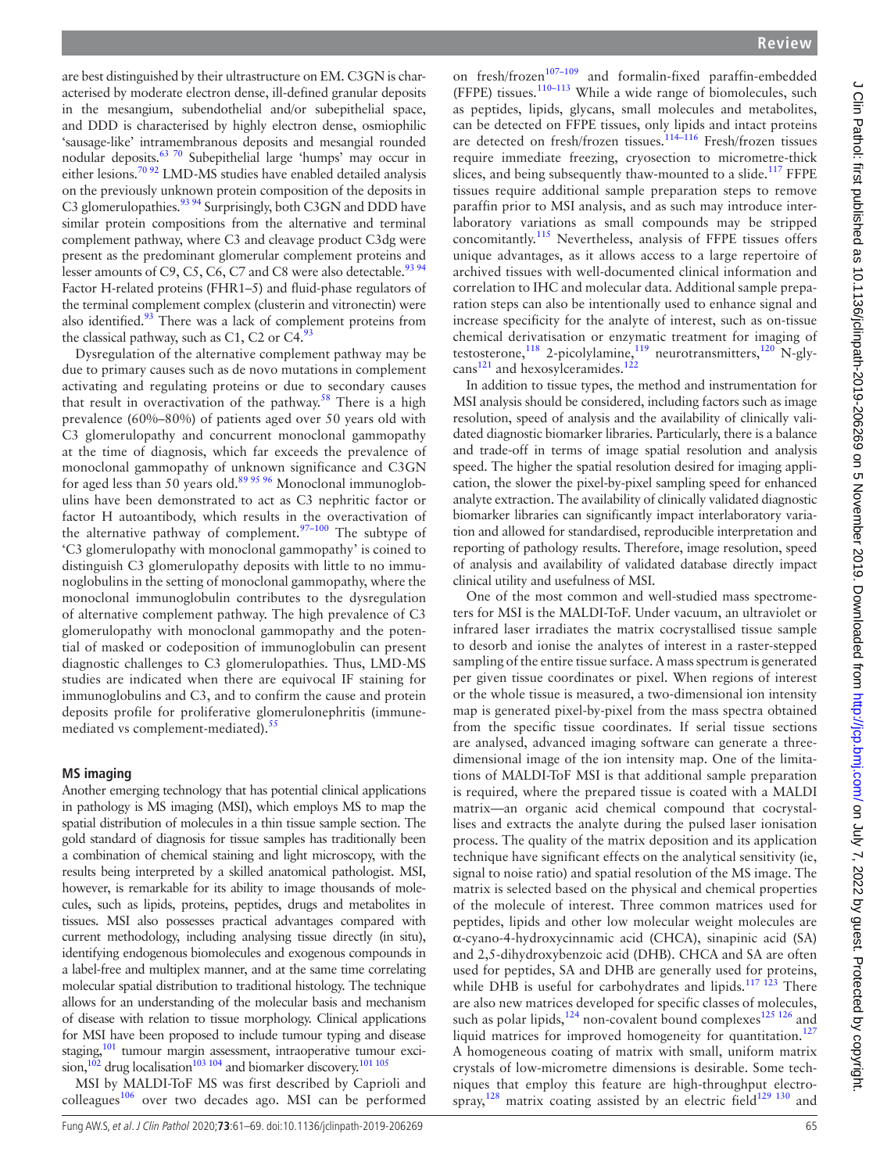are best distinguished by their ultrastructure on EM. C3GN is characterised by moderate electron dense, ill-defined granular deposits in the mesangium, subendothelial and/or subepithelial space, and DDD is characterised by highly electron dense, osmiophilic 'sausage-like' intramembranous deposits and mesangial rounded nodular deposits[.63 70](#page-7-9) Subepithelial large 'humps' may occur in either lesions.<sup>70 92</sup> LMD-MS studies have enabled detailed analysis on the previously unknown protein composition of the deposits in C3 glomerulopathies.<sup>93 94</sup> Surprisingly, both C3GN and DDD have similar protein compositions from the alternative and terminal complement pathway, where C3 and cleavage product C3dg were present as the predominant glomerular complement proteins and lesser amounts of C9, C5, C6, C7 and C8 were also detectable.<sup>93 94</sup> Factor H-related proteins (FHR1–5) and fluid-phase regulators of the terminal complement complex (clusterin and vitronectin) were also identified.<sup>[93](#page-7-26)</sup> There was a lack of complement proteins from the classical pathway, such as C1, C2 or C4. $93$ 

Dysregulation of the alternative complement pathway may be due to primary causes such as de novo mutations in complement activating and regulating proteins or due to secondary causes that result in overactivation of the pathway.<sup>58</sup> There is a high prevalence (60%–80%) of patients aged over 50 years old with C3 glomerulopathy and concurrent monoclonal gammopathy at the time of diagnosis, which far exceeds the prevalence of monoclonal gammopathy of unknown significance and C3GN for aged less than 50 years old.<sup>89 95 96</sup> Monoclonal immunoglobulins have been demonstrated to act as C3 nephritic factor or factor H autoantibody, which results in the overactivation of the alternative pathway of complement. $97-100$  The subtype of 'C3 glomerulopathy with monoclonal gammopathy' is coined to distinguish C3 glomerulopathy deposits with little to no immunoglobulins in the setting of monoclonal gammopathy, where the monoclonal immunoglobulin contributes to the dysregulation of alternative complement pathway. The high prevalence of C3 glomerulopathy with monoclonal gammopathy and the potential of masked or codeposition of immunoglobulin can present diagnostic challenges to C3 glomerulopathies. Thus, LMD-MS studies are indicated when there are equivocal IF staining for immunoglobulins and C3, and to confirm the cause and protein deposits profile for proliferative glomerulonephritis (immune-mediated vs complement-mediated).<sup>[55](#page-7-5)</sup>

## **MS imaging**

Another emerging technology that has potential clinical applications in pathology is MS imaging (MSI), which employs MS to map the spatial distribution of molecules in a thin tissue sample section. The gold standard of diagnosis for tissue samples has traditionally been a combination of chemical staining and light microscopy, with the results being interpreted by a skilled anatomical pathologist. MSI, however, is remarkable for its ability to image thousands of molecules, such as lipids, proteins, peptides, drugs and metabolites in tissues. MSI also possesses practical advantages compared with current methodology, including analysing tissue directly (in situ), identifying endogenous biomolecules and exogenous compounds in a label-free and multiplex manner, and at the same time correlating molecular spatial distribution to traditional histology. The technique allows for an understanding of the molecular basis and mechanism of disease with relation to tissue morphology. Clinical applications for MSI have been proposed to include tumour typing and disease staging,<sup>101</sup> tumour margin assessment, intraoperative tumour exci- $\frac{103}{102}$  drug localisation<sup>103 104</sup> and biomarker discovery.<sup>101 105</sup>

MSI by MALDI-ToF MS was first described by Caprioli and  $\text{colle}$ agues<sup>106</sup> over two decades ago. MSI can be performed

on fresh/frozen<sup>107–109</sup> and formalin-fixed paraffin-embedded (FFPE) tissues.<sup>110–113</sup> While a wide range of biomolecules, such as peptides, lipids, glycans, small molecules and metabolites, can be detected on FFPE tissues, only lipids and intact proteins are detected on fresh/frozen tissues.<sup>114–116</sup> Fresh/frozen tissues require immediate freezing, cryosection to micrometre-thick slices, and being subsequently thaw-mounted to a slide.<sup>117</sup> FFPE tissues require additional sample preparation steps to remove paraffin prior to MSI analysis, and as such may introduce interlaboratory variations as small compounds may be stripped concomitantly.<sup>115</sup> Nevertheless, analysis of FFPE tissues offers unique advantages, as it allows access to a large repertoire of archived tissues with well-documented clinical information and correlation to IHC and molecular data. Additional sample preparation steps can also be intentionally used to enhance signal and increase specificity for the analyte of interest, such as on-tissue chemical derivatisation or enzymatic treatment for imaging of testosterone,<sup>118</sup> 2-picolylamine,<sup>119</sup> neurotransmitters,<sup>120</sup> N-gly-cans<sup>[121](#page-8-13)</sup> and hexosylceramides.<sup>122</sup>

In addition to tissue types, the method and instrumentation for MSI analysis should be considered, including factors such as image resolution, speed of analysis and the availability of clinically validated diagnostic biomarker libraries. Particularly, there is a balance and trade-off in terms of image spatial resolution and analysis speed. The higher the spatial resolution desired for imaging application, the slower the pixel-by-pixel sampling speed for enhanced analyte extraction. The availability of clinically validated diagnostic biomarker libraries can significantly impact interlaboratory variation and allowed for standardised, reproducible interpretation and reporting of pathology results. Therefore, image resolution, speed of analysis and availability of validated database directly impact clinical utility and usefulness of MSI.

One of the most common and well-studied mass spectrometers for MSI is the MALDI-ToF. Under vacuum, an ultraviolet or infrared laser irradiates the matrix cocrystallised tissue sample to desorb and ionise the analytes of interest in a raster-stepped sampling of the entire tissue surface. A mass spectrum is generated per given tissue coordinates or pixel. When regions of interest or the whole tissue is measured, a two-dimensional ion intensity map is generated pixel-by-pixel from the mass spectra obtained from the specific tissue coordinates. If serial tissue sections are analysed, advanced imaging software can generate a threedimensional image of the ion intensity map. One of the limitations of MALDI-ToF MSI is that additional sample preparation is required, where the prepared tissue is coated with a MALDI matrix—an organic acid chemical compound that cocrystallises and extracts the analyte during the pulsed laser ionisation process. The quality of the matrix deposition and its application technique have significant effects on the analytical sensitivity (ie, signal to noise ratio) and spatial resolution of the MS image. The matrix is selected based on the physical and chemical properties of the molecule of interest. Three common matrices used for peptides, lipids and other low molecular weight molecules are α-cyano-4-hydroxycinnamic acid (CHCA), sinapinic acid (SA) and 2,5-dihydroxybenzoic acid (DHB). CHCA and SA are often used for peptides, SA and DHB are generally used for proteins, while DHB is useful for carbohydrates and lipids. $117$   $123$  There are also new matrices developed for specific classes of molecules, such as polar lipids,<sup>[124](#page-8-15)</sup> non-covalent bound complexes<sup>125 126</sup> and liquid matrices for improved homogeneity for quantitation.<sup>[127](#page-8-17)</sup> A homogeneous coating of matrix with small, uniform matrix crystals of low-micrometre dimensions is desirable. Some techniques that employ this feature are high-throughput electrospray,<sup>128</sup> matrix coating assisted by an electric field<sup>129 130</sup> and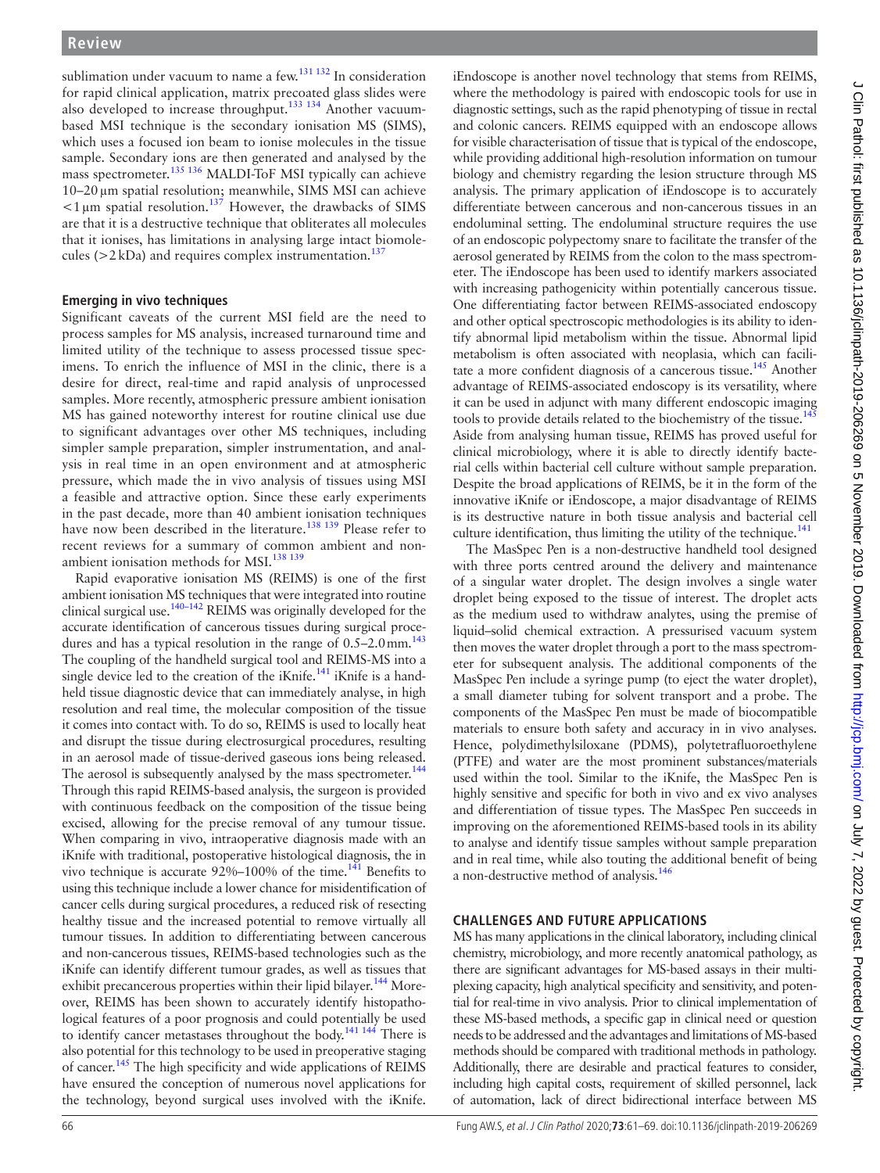sublimation under vacuum to name a few. $131132$  In consideration for rapid clinical application, matrix precoated glass slides were also developed to increase throughput[.133 134](#page-8-21) Another vacuumbased MSI technique is the secondary ionisation MS (SIMS), which uses a focused ion beam to ionise molecules in the tissue sample. Secondary ions are then generated and analysed by the mass spectrometer.<sup>135 136</sup> MALDI-ToF MSI typically can achieve 10–20µm spatial resolution; meanwhile, SIMS MSI can achieve  $\leq$ 1 µm spatial resolution.<sup>[137](#page-8-23)</sup> However, the drawbacks of SIMS are that it is a destructive technique that obliterates all molecules that it ionises, has limitations in analysing large intact biomolecules ( $>2$ kDa) and requires complex instrumentation.<sup>137</sup>

## **Emerging in vivo techniques**

Significant caveats of the current MSI field are the need to process samples for MS analysis, increased turnaround time and limited utility of the technique to assess processed tissue specimens. To enrich the influence of MSI in the clinic, there is a desire for direct, real-time and rapid analysis of unprocessed samples. More recently, atmospheric pressure ambient ionisation MS has gained noteworthy interest for routine clinical use due to significant advantages over other MS techniques, including simpler sample preparation, simpler instrumentation, and analysis in real time in an open environment and at atmospheric pressure, which made the in vivo analysis of tissues using MSI a feasible and attractive option. Since these early experiments in the past decade, more than 40 ambient ionisation techniques have now been described in the literature.<sup>[138 139](#page-8-24)</sup> Please refer to recent reviews for a summary of common ambient and nonambient ionisation methods for MSI.<sup>138</sup> <sup>139</sup>

Rapid evaporative ionisation MS (REIMS) is one of the first ambient ionisation MS techniques that were integrated into routine clinical surgical use.<sup>140–142</sup> REIMS was originally developed for the accurate identification of cancerous tissues during surgical procedures and has a typical resolution in the range of  $0.5-2.0$  mm.<sup>[143](#page-8-26)</sup> The coupling of the handheld surgical tool and REIMS-MS into a single device led to the creation of the iKnife.<sup>141</sup> iKnife is a handheld tissue diagnostic device that can immediately analyse, in high resolution and real time, the molecular composition of the tissue it comes into contact with. To do so, REIMS is used to locally heat and disrupt the tissue during electrosurgical procedures, resulting in an aerosol made of tissue-derived gaseous ions being released. The aerosol is subsequently analysed by the mass spectrometer.<sup>[144](#page-8-28)</sup> Through this rapid REIMS-based analysis, the surgeon is provided with continuous feedback on the composition of the tissue being excised, allowing for the precise removal of any tumour tissue. When comparing in vivo, intraoperative diagnosis made with an iKnife with traditional, postoperative histological diagnosis, the in vivo technique is accurate  $92\% - 100\%$  of the time.<sup>141</sup> Benefits to using this technique include a lower chance for misidentification of cancer cells during surgical procedures, a reduced risk of resecting healthy tissue and the increased potential to remove virtually all tumour tissues. In addition to differentiating between cancerous and non-cancerous tissues, REIMS-based technologies such as the iKnife can identify different tumour grades, as well as tissues that exhibit precancerous properties within their lipid bilayer.<sup>144</sup> Moreover, REIMS has been shown to accurately identify histopathological features of a poor prognosis and could potentially be used to identify cancer metastases throughout the body.<sup>141 144</sup> There is also potential for this technology to be used in preoperative staging of cancer[.145](#page-8-29) The high specificity and wide applications of REIMS have ensured the conception of numerous novel applications for the technology, beyond surgical uses involved with the iKnife.

iEndoscope is another novel technology that stems from REIMS, where the methodology is paired with endoscopic tools for use in diagnostic settings, such as the rapid phenotyping of tissue in rectal and colonic cancers. REIMS equipped with an endoscope allows for visible characterisation of tissue that is typical of the endoscope, while providing additional high-resolution information on tumour biology and chemistry regarding the lesion structure through MS analysis. The primary application of iEndoscope is to accurately differentiate between cancerous and non-cancerous tissues in an endoluminal setting. The endoluminal structure requires the use of an endoscopic polypectomy snare to facilitate the transfer of the aerosol generated by REIMS from the colon to the mass spectrometer. The iEndoscope has been used to identify markers associated with increasing pathogenicity within potentially cancerous tissue. One differentiating factor between REIMS-associated endoscopy and other optical spectroscopic methodologies is its ability to identify abnormal lipid metabolism within the tissue. Abnormal lipid metabolism is often associated with neoplasia, which can facili-tate a more confident diagnosis of a cancerous tissue.<sup>[145](#page-8-29)</sup> Another advantage of REIMS-associated endoscopy is its versatility, where it can be used in adjunct with many different endoscopic imaging tools to provide details related to the biochemistry of the tissue.<sup>145</sup> Aside from analysing human tissue, REIMS has proved useful for clinical microbiology, where it is able to directly identify bacterial cells within bacterial cell culture without sample preparation. Despite the broad applications of REIMS, be it in the form of the innovative iKnife or iEndoscope, a major disadvantage of REIMS is its destructive nature in both tissue analysis and bacterial cell culture identification, thus limiting the utility of the technique.<sup>[141](#page-8-27)</sup>

The MasSpec Pen is a non-destructive handheld tool designed with three ports centred around the delivery and maintenance of a singular water droplet. The design involves a single water droplet being exposed to the tissue of interest. The droplet acts as the medium used to withdraw analytes, using the premise of liquid–solid chemical extraction. A pressurised vacuum system then moves the water droplet through a port to the mass spectrometer for subsequent analysis. The additional components of the MasSpec Pen include a syringe pump (to eject the water droplet), a small diameter tubing for solvent transport and a probe. The components of the MasSpec Pen must be made of biocompatible materials to ensure both safety and accuracy in in vivo analyses. Hence, polydimethylsiloxane (PDMS), polytetrafluoroethylene (PTFE) and water are the most prominent substances/materials used within the tool. Similar to the iKnife, the MasSpec Pen is highly sensitive and specific for both in vivo and ex vivo analyses and differentiation of tissue types. The MasSpec Pen succeeds in improving on the aforementioned REIMS-based tools in its ability to analyse and identify tissue samples without sample preparation and in real time, while also touting the additional benefit of being a non-destructive method of analysis.<sup>146</sup>

#### **Challenges and future applications**

MS has many applications in the clinical laboratory, including clinical chemistry, microbiology, and more recently anatomical pathology, as there are significant advantages for MS-based assays in their multiplexing capacity, high analytical specificity and sensitivity, and potential for real-time in vivo analysis. Prior to clinical implementation of these MS-based methods, a specific gap in clinical need or question needs to be addressed and the advantages and limitations of MS-based methods should be compared with traditional methods in pathology. Additionally, there are desirable and practical features to consider, including high capital costs, requirement of skilled personnel, lack of automation, lack of direct bidirectional interface between MS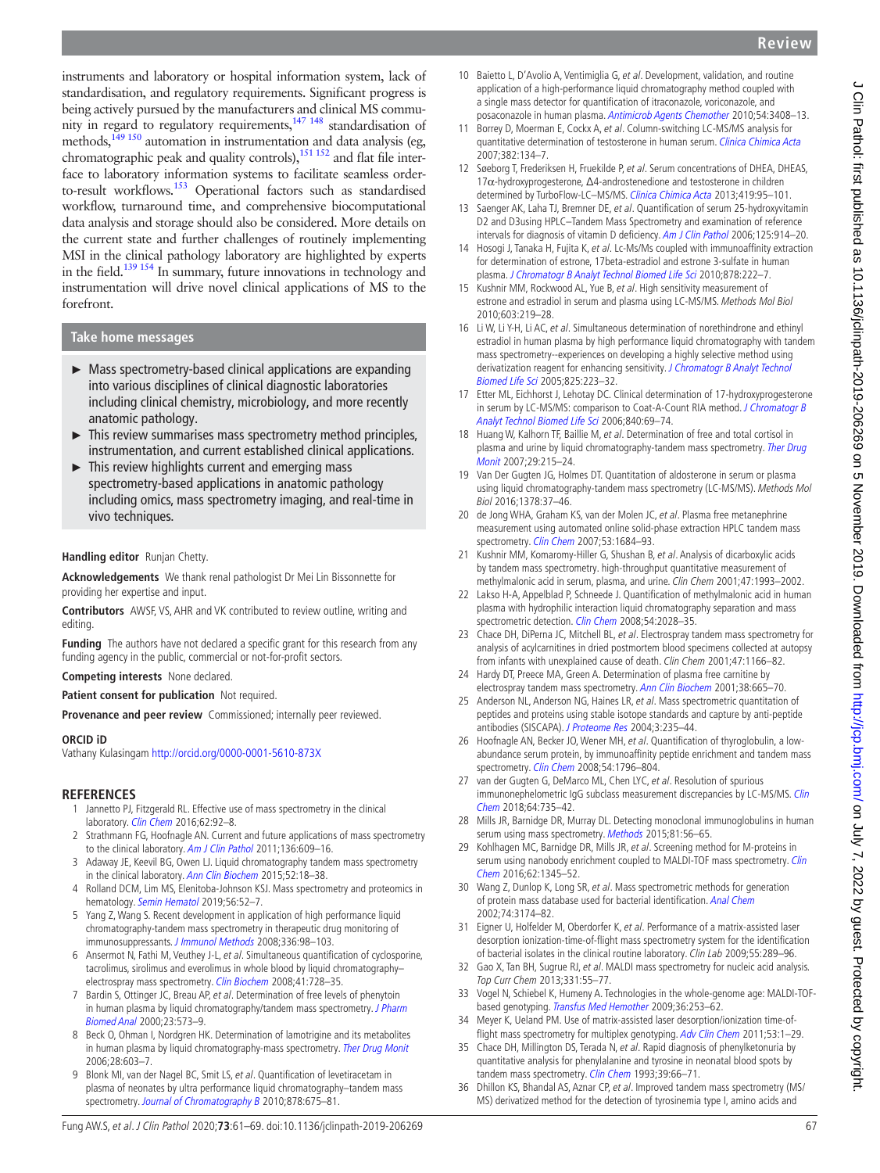instruments and laboratory or hospital information system, lack of standardisation, and regulatory requirements. Significant progress is being actively pursued by the manufacturers and clinical MS community in regard to regulatory requirements,<sup>147 148</sup> standardisation of methods, $149\frac{150}{150}$  automation in instrumentation and data analysis (eg, chromatographic peak and quality controls),  $151 152$  and flat file interface to laboratory information systems to facilitate seamless orderto-result workflows.[153](#page-8-34) Operational factors such as standardised workflow, turnaround time, and comprehensive biocomputational data analysis and storage should also be considered. More details on the current state and further challenges of routinely implementing MSI in the clinical pathology laboratory are highlighted by experts in the field.[139 154](#page-8-35) In summary, future innovations in technology and instrumentation will drive novel clinical applications of MS to the forefront.

## **Take home messages**

- ► Mass spectrometry-based clinical applications are expanding into various disciplines of clinical diagnostic laboratories including clinical chemistry, microbiology, and more recently anatomic pathology.
- ► This review summarises mass spectrometry method principles, instrumentation, and current established clinical applications.
- $\blacktriangleright$  This review highlights current and emerging mass spectrometry-based applications in anatomic pathology including omics, mass spectrometry imaging, and real-time in vivo techniques.

#### **Handling editor** Runjan Chetty.

**Acknowledgements** We thank renal pathologist Dr Mei Lin Bissonnette for providing her expertise and input.

**Contributors** AWSF, VS, AHR and VK contributed to review outline, writing and editing.

**Funding** The authors have not declared a specific grant for this research from any funding agency in the public, commercial or not-for-profit sectors.

**Competing interests** None declared.

#### **Patient consent for publication** Not required.

Provenance and peer review Commissioned; internally peer reviewed.

#### **ORCID iD**

Vathany Kulasingam <http://orcid.org/0000-0001-5610-873X>

## **References**

- <span id="page-6-0"></span>1 Jannetto PJ, Fitzgerald RL. Effective use of mass spectrometry in the clinical laboratory. [Clin Chem](http://dx.doi.org/10.1373/clinchem.2015.248146) 2016;62:92-8.
- 2 Strathmann FG, Hoofnagle AN. Current and future applications of mass spectrometry to the clinical laboratory. [Am J Clin Pathol](http://dx.doi.org/10.1309/AJCPW0TA8OBBNGCK) 2011;136:609-16.
- 3 Adaway JE, Keevil BG, Owen LJ. Liquid chromatography tandem mass spectrometry in the clinical laboratory. [Ann Clin Biochem](http://dx.doi.org/10.1177/0004563214557678) 2015;52:18-38.
- 4 Rolland DCM, Lim MS, Elenitoba-Johnson KSJ. Mass spectrometry and proteomics in hematology. [Semin Hematol](http://dx.doi.org/10.1053/j.seminhematol.2018.05.009) 2019;56:52-7.
- <span id="page-6-1"></span>5 Yang Z, Wang S. Recent development in application of high performance liquid chromatography-tandem mass spectrometry in therapeutic drug monitoring of immunosuppressants. [J Immunol Methods](http://dx.doi.org/10.1016/j.jim.2008.05.001) 2008;336:98-103.
- 6 Ansermot N, Fathi M, Veuthey J-L, et al. Simultaneous quantification of cyclosporine, tacrolimus, sirolimus and everolimus in whole blood by liquid chromatography– electrospray mass spectrometry. [Clin Biochem](http://dx.doi.org/10.1016/j.clinbiochem.2008.02.014) 2008;41:728–35.
- 7 Bardin S, Ottinger JC, Breau AP, et al. Determination of free levels of phenytoin in human plasma by liquid chromatography/tandem mass spectrometry. J Pharm [Biomed Anal](http://dx.doi.org/10.1016/S0731-7085(00)00338-1) 2000;23:573–9.
- 8 Beck O, Ohman I, Nordgren HK. Determination of lamotrigine and its metabolites in human plasma by liquid chromatography-mass spectrometry. [Ther Drug Monit](http://dx.doi.org/10.1097/01.ftd.0000245779.64080.30) 2006;28:603–7.
- 9 Blonk MI, van der Nagel BC, Smit LS, et al. Quantification of levetiracetam in plasma of neonates by ultra performance liquid chromatography–tandem mass spectrometry. [Journal of Chromatography B](http://dx.doi.org/10.1016/j.jchromb.2010.01.037) 2010;878:675-81.
- <span id="page-6-10"></span>10 Baietto L, D'Avolio A, Ventimiglia G, et al. Development, validation, and routine application of a high-performance liquid chromatography method coupled with a single mass detector for quantification of itraconazole, voriconazole, and posaconazole in human plasma. [Antimicrob Agents Chemother](http://dx.doi.org/10.1128/AAC.01807-09) 2010;54:3408-13.
- <span id="page-6-2"></span>11 Borrey D, Moerman E, Cockx A, et al. Column-switching LC-MS/MS analysis for quantitative determination of testosterone in human serum. [Clinica Chimica Acta](http://dx.doi.org/10.1016/j.cca.2007.03.019) 2007;382:134–7.
- 12 Søeborg T, Frederiksen H, Fruekilde P, et al. Serum concentrations of DHEA, DHEAS, 17α-hydroxyprogesterone, Δ4-androstenedione and testosterone in children determined by TurboFlow-LC-MS/MS. [Clinica Chimica Acta](http://dx.doi.org/10.1016/j.cca.2013.01.019) 2013;419:95-101.
- 13 Saenger AK, Laha TJ, Bremner DE, et al. Quantification of serum 25-hydroxyvitamin D2 and D3using HPLC–Tandem Mass Spectrometry and examination of reference intervals for diagnosis of vitamin D deficiency. [Am J Clin Pathol](http://dx.doi.org/10.1309/J32UF7GTQPWN25AP) 2006;125:914-20.
- 14 Hosogi J, Tanaka H, Fujita K, et al. Lc-Ms/Ms coupled with immunoaffinity extraction for determination of estrone, 17beta-estradiol and estrone 3-sulfate in human plasma. [J Chromatogr B Analyt Technol Biomed Life Sci](http://dx.doi.org/10.1016/j.jchromb.2009.08.010) 2010;878:222–7.
- 15 Kushnir MM, Rockwood AL, Yue B, et al. High sensitivity measurement of estrone and estradiol in serum and plasma using LC-MS/MS. Methods Mol Biol 2010;603:219–28.
- 16 Li W, Li Y-H, Li AC, et al. Simultaneous determination of norethindrone and ethinyl estradiol in human plasma by high performance liquid chromatography with tandem mass spectrometry--experiences on developing a highly selective method using derivatization reagent for enhancing sensitivity. J Chromatogr B Analyt Technol [Biomed Life Sci](http://dx.doi.org/10.1016/j.jchromb.2005.01.012) 2005;825:223–32.
- 17 Etter ML, Eichhorst J, Lehotay DC. Clinical determination of 17-hydroxyprogesterone in serum by LC-MS/MS: comparison to Coat-A-Count RIA method. J Chromatogr B [Analyt Technol Biomed Life Sci](http://dx.doi.org/10.1016/j.jchromb.2006.04.038) 2006;840:69–74.
- 18 Huang W, Kalhorn TF, Baillie M, et al. Determination of free and total cortisol in plasma and urine by liquid chromatography-tandem mass spectrometry. Ther Drug [Monit](http://dx.doi.org/10.1097/FTD.0b013e31803d14c0) 2007;29:215–24.
- 19 Van Der Gugten JG, Holmes DT. Quantitation of aldosterone in serum or plasma using liquid chromatography-tandem mass spectrometry (LC-MS/MS). Methods Mol Biol 2016;1378:37–46.
- <span id="page-6-3"></span>20 de Jong WHA, Graham KS, van der Molen JC, et al. Plasma free metanephrine measurement using automated online solid-phase extraction HPLC tandem mass spectrometry. [Clin Chem](http://dx.doi.org/10.1373/clinchem.2007.087114) 2007;53:1684-93.
- 21 Kushnir MM, Komaromy-Hiller G, Shushan B, et al. Analysis of dicarboxylic acids by tandem mass spectrometry. high-throughput quantitative measurement of methylmalonic acid in serum, plasma, and urine. Clin Chem 2001;47:1993–2002.
- 22 Lakso H-A, Appelblad P, Schneede J. Quantification of methylmalonic acid in human plasma with hydrophilic interaction liquid chromatography separation and mass spectrometric detection. [Clin Chem](http://dx.doi.org/10.1373/clinchem.2007.101253) 2008;54:2028-35.
- <span id="page-6-7"></span>23 Chace DH, DiPerna JC, Mitchell BL, et al. Electrospray tandem mass spectrometry for analysis of acylcarnitines in dried postmortem blood specimens collected at autopsy from infants with unexplained cause of death. Clin Chem 2001;47:1166–82.
- 24 Hardy DT, Preece MA, Green A. Determination of plasma free carnitine by electrospray tandem mass spectrometry. [Ann Clin Biochem](http://dx.doi.org/10.1258/0004563011901073) 2001;38:665-70.
- <span id="page-6-4"></span>25 Anderson NL, Anderson NG, Haines LR, et al. Mass spectrometric quantitation of peptides and proteins using stable isotope standards and capture by anti-peptide antibodies (SISCAPA). [J Proteome Res](http://dx.doi.org/10.1021/pr034086h) 2004;3:235-44.
- 26 Hoofnagle AN, Becker JO, Wener MH, et al. Quantification of thyroglobulin, a lowabundance serum protein, by immunoaffinity peptide enrichment and tandem mass spectrometry. [Clin Chem](http://dx.doi.org/10.1373/clinchem.2008.109652) 2008;54:1796-804.
- <span id="page-6-8"></span>27 van der Gugten G, DeMarco ML, Chen LYC, et al. Resolution of spurious immunonephelometric IgG subclass measurement discrepancies by LC-MS/MS. Clin [Chem](http://dx.doi.org/10.1373/clinchem.2017.282319) 2018;64:735–42.
- 28 Mills JR, Barnidge DR, Murray DL. Detecting monoclonal immunoglobulins in human serum using mass spectrometry. [Methods](http://dx.doi.org/10.1016/j.ymeth.2015.04.020) 2015;81:56–65.
- <span id="page-6-9"></span>29 Kohlhagen MC, Barnidge DR, Mills JR, et al. Screening method for M-proteins in serum using nanobody enrichment coupled to MALDI-TOF mass spectrometry. Clin [Chem](http://dx.doi.org/10.1373/clinchem.2015.253781) 2016;62:1345–52.
- <span id="page-6-5"></span>30 Wang Z, Dunlop K, Long SR, et al. Mass spectrometric methods for generation of protein mass database used for bacterial identification. [Anal Chem](http://dx.doi.org/10.1021/ac015725f) 2002;74:3174–82.
- 31 Eigner U, Holfelder M, Oberdorfer K, et al. Performance of a matrix-assisted laser desorption ionization-time-of-flight mass spectrometry system for the identification of bacterial isolates in the clinical routine laboratory. Clin Lab 2009;55:289–96.
- <span id="page-6-6"></span>32 Gao X, Tan BH, Sugrue RJ, et al. MALDI mass spectrometry for nucleic acid analysis. Top Curr Chem 2013;331:55–77.
- 33 Vogel N, Schiebel K, Humeny A. Technologies in the whole-genome age: MALDI-TOF-based genotyping. [Transfus Med Hemother](http://dx.doi.org/10.1159/000225089) 2009;36:253-62.
- 34 Meyer K, Ueland PM. Use of matrix-assisted laser desorption/ionization time-of-flight mass spectrometry for multiplex genotyping. [Adv Clin Chem](http://www.ncbi.nlm.nih.gov/pubmed/21404912) 2011;53:1-29.
- 35 Chace DH, Millington DS, Terada N, et al. Rapid diagnosis of phenylketonuria by quantitative analysis for phenylalanine and tyrosine in neonatal blood spots by tandem mass spectrometry. [Clin Chem](http://www.ncbi.nlm.nih.gov/pubmed/8419060) 1993;39:66-71.
- 36 Dhillon KS, Bhandal AS, Aznar CP, et al. Improved tandem mass spectrometry (MS/ MS) derivatized method for the detection of tyrosinemia type I, amino acids and

J Clin Pathol: first published as 10.1136/jclinpath-2019-206269 on 5 November 2019. Downloaded from http://jcp.bmj.com/ on July 7, 2022 by guest. Protected by copyright J Clin Pathol: first published as 10.1136/jclinpath-2019-20289 on 5 November 2019. Downloaded from <http://jcp.bmj.com/> on July 7, 2022 by guest. Protected by copyright.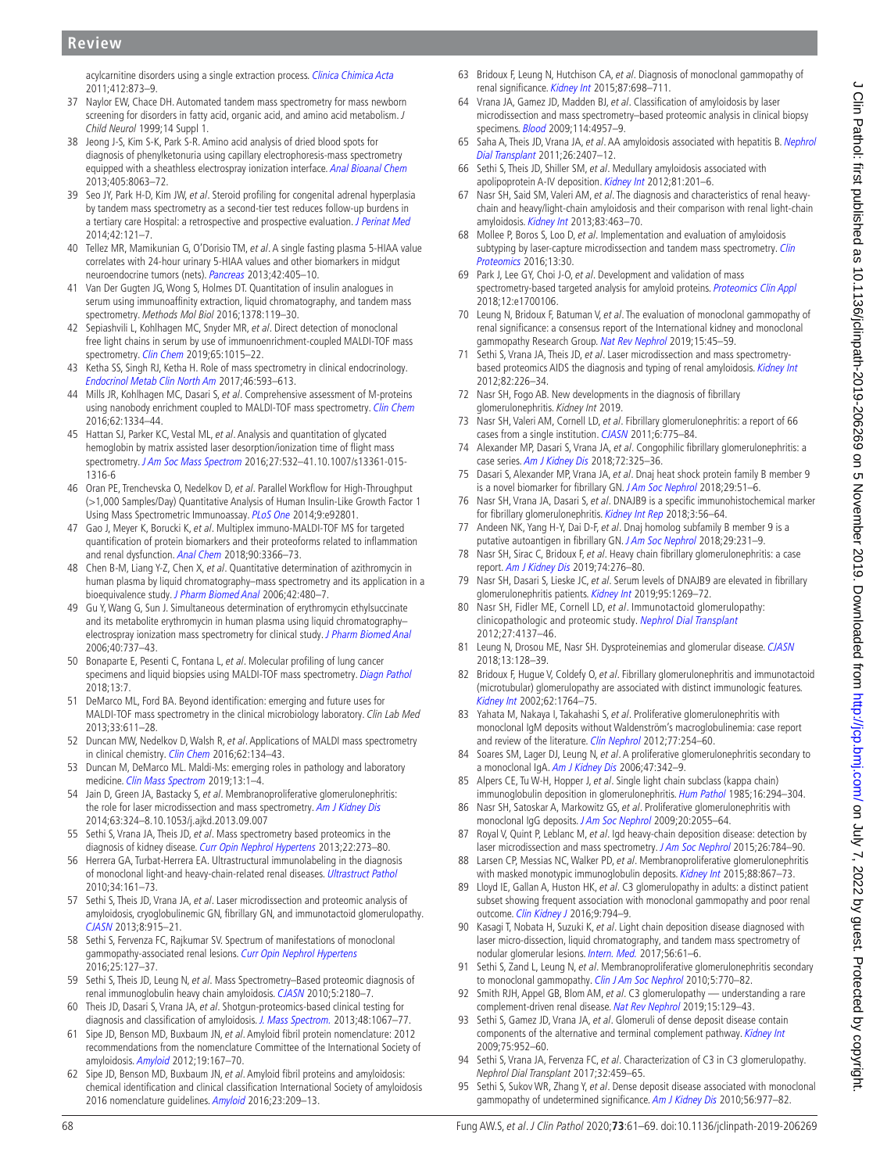acylcarnitine disorders using a single extraction process. [Clinica Chimica Acta](http://dx.doi.org/10.1016/j.cca.2010.12.028) 2011;412:873–9.

- 37 Naylor EW, Chace DH. Automated tandem mass spectrometry for mass newborn screening for disorders in fatty acid, organic acid, and amino acid metabolism. J Child Neurol 1999;14 Suppl 1.
- 38 Jeong J-S, Kim S-K, Park S-R. Amino acid analysis of dried blood spots for diagnosis of phenylketonuria using capillary electrophoresis-mass spectrometry equipped with a sheathless electrospray ionization interface. [Anal Bioanal Chem](http://dx.doi.org/10.1007/s00216-013-6999-6) 2013;405:8063–72.
- Seo JY, Park H-D, Kim JW, et al. Steroid profiling for congenital adrenal hyperplasia by tandem mass spectrometry as a second-tier test reduces follow-up burdens in a tertiary care Hospital: a retrospective and prospective evaluation. [J Perinat Med](http://dx.doi.org/10.1515/jpm-2013-0154) 2014;42:121–7.
- 40 Tellez MR, Mamikunian G, O'Dorisio TM, et al. A single fasting plasma 5-HIAA value correlates with 24-hour urinary 5-HIAA values and other biomarkers in midgut neuroendocrine tumors (nets). [Pancreas](http://dx.doi.org/10.1097/MPA.0b013e318271c0d5) 2013;42:405-10.
- 41 Van Der Gugten JG, Wong S, Holmes DT. Quantitation of insulin analogues in serum using immunoaffinity extraction, liquid chromatography, and tandem mass spectrometry. Methods Mol Biol 2016;1378:119–30.
- 42 Sepiashvili L, Kohlhagen MC, Snyder MR, et al. Direct detection of monoclonal free light chains in serum by use of immunoenrichment-coupled MALDI-TOF mass spectrometry. [Clin Chem](http://dx.doi.org/10.1373/clinchem.2018.299461) 2019;65:1015-22.
- 43 Ketha SS, Singh RJ, Ketha H. Role of mass spectrometry in clinical endocrinology. [Endocrinol Metab Clin North Am](http://dx.doi.org/10.1016/j.ecl.2017.04.001) 2017;46:593–613.
- 44 Mills JR, Kohlhagen MC, Dasari S, et al. Comprehensive assessment of M-proteins using nanobody enrichment coupled to MALDI-TOF mass spectrometry. [Clin Chem](http://dx.doi.org/10.1373/clinchem.2015.253740) 2016;62:1334–44.
- <span id="page-7-0"></span>45 Hattan SJ, Parker KC, Vestal ML, et al. Analysis and quantitation of glycated hemoglobin by matrix assisted laser desorption/ionization time of flight mass spectrometry. [J Am Soc Mass Spectrom](http://dx.doi.org/10.1007/s13361-015-1316-6) 2016;27:532–41.10.1007/s13361-015- 1316-6
- <span id="page-7-1"></span>46 Oran PE, Trenchevska O, Nedelkov D, et al. Parallel Workflow for High-Throughput (>1,000 Samples/Day) Quantitative Analysis of Human Insulin-Like Growth Factor 1 Using Mass Spectrometric Immunoassay. [PLoS One](http://dx.doi.org/10.1371/journal.pone.0092801) 2014;9:e92801.
- <span id="page-7-2"></span>47 Gao J, Meyer K, Borucki K, et al. Multiplex immuno-MALDI-TOF MS for targeted quantification of protein biomarkers and their proteoforms related to inflammation and renal dysfunction. [Anal Chem](http://dx.doi.org/10.1021/acs.analchem.7b04975) 2018;90:3366–73.
- 48 Chen B-M, Liang Y-Z, Chen X, et al. Quantitative determination of azithromycin in human plasma by liquid chromatography–mass spectrometry and its application in a bioequivalence study. [J Pharm Biomed Anal](http://dx.doi.org/10.1016/j.jpba.2006.05.011) 2006;42:480–7.
- 49 Gu Y, Wang G, Sun J. Simultaneous determination of erythromycin ethylsuccinate and its metabolite erythromycin in human plasma using liquid chromatography– electrospray ionization mass spectrometry for clinical study. [J Pharm Biomed Anal](http://dx.doi.org/10.1016/j.jpba.2005.11.005) 2006;40:737–43.
- 50 Bonaparte E, Pesenti C, Fontana L, et al. Molecular profiling of lung cancer specimens and liquid biopsies using MALDI-TOF mass spectrometry. [Diagn Pathol](http://dx.doi.org/10.1186/s13000-017-0683-7) 2018;13:7.
- <span id="page-7-3"></span>51 DeMarco ML, Ford BA. Beyond identification: emerging and future uses for MALDI-TOF mass spectrometry in the clinical microbiology laboratory. Clin Lab Med 2013;33:611–28.
- 52 Duncan MW, Nedelkov D, Walsh R, et al. Applications of MALDI mass spectrometry in clinical chemistry. [Clin Chem](http://dx.doi.org/10.1373/clinchem.2015.239491) 2016;62:134-43.
- 53 Duncan M, DeMarco ML. Maldi-Ms: emerging roles in pathology and laboratory medicine. [Clin Mass Spectrom](http://dx.doi.org/10.1016/j.clinms.2019.05.003) 2019;13:1-4.
- <span id="page-7-4"></span>54 Jain D, Green JA, Bastacky S, et al. Membranoproliferative glomerulonephritis: the role for laser microdissection and mass spectrometry. [Am J Kidney Dis](http://dx.doi.org/10.1053/j.ajkd.2013.09.007) 2014;63:324–8.10.1053/j.ajkd.2013.09.007
- <span id="page-7-5"></span>55 Sethi S, Vrana JA, Theis JD, et al. Mass spectrometry based proteomics in the diagnosis of kidney disease. [Curr Opin Nephrol Hypertens](http://dx.doi.org/10.1097/MNH.0b013e32835fe37c) 2013;22:273-80.
- 56 Herrera GA, Turbat-Herrera EA. Ultrastructural immunolabeling in the diagnosis of monoclonal light-and heavy-chain-related renal diseases. [Ultrastruct Pathol](http://dx.doi.org/10.3109/01913121003672873) 2010;34:161–73.
- <span id="page-7-20"></span>57 Sethi S, Theis JD, Vrana JA, et al. Laser microdissection and proteomic analysis of amyloidosis, cryoglobulinemic GN, fibrillary GN, and immunotactoid glomerulopathy. [CJASN](http://dx.doi.org/10.2215/CJN.07030712) 2013;8:915–21.
- <span id="page-7-22"></span>58 Sethi S, Fervenza FC, Rajkumar SV. Spectrum of manifestations of monoclonal gammopathy-associated renal lesions. [Curr Opin Nephrol Hypertens](http://dx.doi.org/10.1097/MNH.0000000000000201) 2016;25:127–37.
- <span id="page-7-6"></span>59 Sethi S, Theis JD, Leung N, et al. Mass Spectrometry–Based proteomic diagnosis of renal immunoglobulin heavy chain amyloidosis. [CJASN](http://dx.doi.org/10.2215/CJN.02890310) 2010;5:2180–7.
- <span id="page-7-7"></span>60 Theis JD, Dasari S, Vrana JA, et al. Shotgun-proteomics-based clinical testing for diagnosis and classification of amyloidosis. [J. Mass Spectrom.](http://dx.doi.org/10.1002/jms.3264) 2013;48:1067-77.
- <span id="page-7-8"></span>61 Sipe JD, Benson MD, Buxbaum JN, et al. Amyloid fibril protein nomenclature: 2012 recommendations from the nomenclature Committee of the International Society of amyloidosis. [Amyloid](http://dx.doi.org/10.3109/13506129.2012.734345) 2012;19:167–70.
- <span id="page-7-11"></span>62 Sipe JD, Benson MD, Buxbaum JN, et al. Amyloid fibril proteins and amyloidosis: chemical identification and clinical classification International Society of amyloidosis 2016 nomenclature guidelines. [Amyloid](http://dx.doi.org/10.1080/13506129.2016.1257986) 2016;23:209–13.
- <span id="page-7-9"></span>63 Bridoux F, Leung N, Hutchison CA, et al. Diagnosis of monoclonal gammopathy of renal significance. [Kidney Int](http://dx.doi.org/10.1038/ki.2014.408) 2015;87:698-711.
- <span id="page-7-10"></span>Vrana JA, Gamez JD, Madden BJ, et al. Classification of amyloidosis by laser microdissection and mass spectrometry–based proteomic analysis in clinical biopsy specimens. **[Blood](http://dx.doi.org/10.1182/blood-2009-07-230722)** 2009:114:4957-9.
- 65 Saha A, Theis JD, Vrana JA, et al. AA amyloidosis associated with hepatitis B. [Nephrol](http://dx.doi.org/10.1093/ndt/gfr224)  [Dial Transplant](http://dx.doi.org/10.1093/ndt/gfr224) 2011;26:2407–12.
- 66 Sethi S, Theis JD, Shiller SM, et al. Medullary amyloidosis associated with apolipoprotein A-IV deposition. [Kidney Int](http://dx.doi.org/10.1038/ki.2011.316) 2012;81:201–6.
- 67 Nasr SH, Said SM, Valeri AM, et al. The diagnosis and characteristics of renal heavychain and heavy/light-chain amyloidosis and their comparison with renal light-chain amyloidosis. [Kidney Int](http://dx.doi.org/10.1038/ki.2012.414) 2013;83:463–70.
- 68 Mollee P, Boros S, Loo D, et al. Implementation and evaluation of amyloidosis subtyping by laser-capture microdissection and tandem mass spectrometry. Clin [Proteomics](http://dx.doi.org/10.1186/s12014-016-9133-x) 2016;13:30.
- 69 Park J, Lee GY, Choi J-O, et al. Development and validation of mass spectrometry-based targeted analysis for amyloid proteins. [Proteomics Clin Appl](http://dx.doi.org/10.1002/prca.201700106) 2018;12:e1700106.
- <span id="page-7-12"></span>70 Leung N, Bridoux F, Batuman V, et al. The evaluation of monoclonal gammopathy of renal significance: a consensus report of the International kidney and monoclonal gammopathy Research Group. [Nat Rev Nephrol](http://dx.doi.org/10.1038/s41581-018-0077-4) 2019;15:45-59.
- 71 Sethi S, Vrana JA, Theis JD, et al. Laser microdissection and mass spectrometry-based proteomics AIDS the diagnosis and typing of renal amyloidosis. [Kidney Int](http://dx.doi.org/10.1038/ki.2012.108) 2012;82:226–34.
- <span id="page-7-13"></span>72 Nasr SH, Fogo AB. New developments in the diagnosis of fibrillary glomerulonephritis. Kidney Int 2019.
- <span id="page-7-14"></span>73 Nasr SH, Valeri AM, Cornell LD, et al. Fibrillary glomerulonephritis: a report of 66 cases from a single institution. [CJASN](http://dx.doi.org/10.2215/CJN.08300910) 2011;6:775–84.
- <span id="page-7-15"></span>74 Alexander MP, Dasari S, Vrana JA, et al. Congophilic fibrillary glomerulonephritis: a case series. [Am J Kidney Dis](http://dx.doi.org/10.1053/j.ajkd.2018.03.017) 2018;72:325-36.
- <span id="page-7-16"></span>75 Dasari S, Alexander MP, Vrana JA, et al. Dnaj heat shock protein family B member 9 is a novel biomarker for fibrillary GN. [J Am Soc Nephrol](http://dx.doi.org/10.1681/ASN.2017030306) 2018;29:51-6.
- <span id="page-7-17"></span>76 Nasr SH, Vrana JA, Dasari S, et al. DNAJB9 is a specific immunohistochemical marker for fibrillary glomerulonephritis. [Kidney Int Rep](http://dx.doi.org/10.1016/j.ekir.2017.07.017) 2018;3:56-64.
- 77 Andeen NK, Yang H-Y, Dai D-F, et al. Dnaj homolog subfamily B member 9 is a putative autoantigen in fibrillary GN. [J Am Soc Nephrol](http://dx.doi.org/10.1681/ASN.2017050566) 2018:29:231-9.
- 78 Nasr SH, Sirac C, Bridoux F, et al. Heavy chain fibrillary glomerulonephritis: a case report. [Am J Kidney Dis](http://dx.doi.org/10.1053/j.ajkd.2019.01.032) 2019;74:276–80.
- <span id="page-7-18"></span>79 Nasr SH, Dasari S, Lieske JC, et al. Serum levels of DNAJB9 are elevated in fibrillary glomerulonephritis patients. [Kidney Int](http://dx.doi.org/10.1016/j.kint.2019.01.024) 2019;95:1269-72.
- <span id="page-7-19"></span>80 Nasr SH, Fidler ME, Cornell LD, et al. Immunotactoid glomerulopathy: clinicopathologic and proteomic study. [Nephrol Dial Transplant](http://dx.doi.org/10.1093/ndt/gfs348) 2012;27:4137–46.
- 81 Leung N, Drosou ME, Nasr SH. Dysproteinemias and glomerular disease. [CJASN](http://dx.doi.org/10.2215/CJN.00560117) 2018;13:128–39.
- <span id="page-7-21"></span>82 Bridoux F, Hugue V, Coldefy O, et al. Fibrillary glomerulonephritis and immunotactoid (microtubular) glomerulopathy are associated with distinct immunologic features. [Kidney Int](http://dx.doi.org/10.1046/j.1523-1755.2002.00628.x) 2002;62:1764–75.
- <span id="page-7-23"></span>83 Yahata M, Nakaya I, Takahashi S, et al. Proliferative glomerulonephritis with monoclonal IgM deposits without Waldenström's macroglobulinemia: case report and review of the literature. [Clin Nephrol](http://dx.doi.org/10.5414/CN107230) 2012;77:254-60.
- 84 Soares SM, Lager DJ, Leung N, et al. A proliferative glomerulonephritis secondary to a monoclonal IgA. [Am J Kidney Dis](http://dx.doi.org/10.1053/j.ajkd.2005.10.023) 2006;47:342–9.
- 85 Alpers CE, Tu W-H, Hopper J, et al. Single light chain subclass (kappa chain) immunoglobulin deposition in glomerulonephritis. [Hum Pathol](http://dx.doi.org/10.1016/S0046-8177(85)80017-4) 1985;16:294-304.
- 86 Nasr SH, Satoskar A, Markowitz GS, et al. Proliferative glomerulonephritis with monoclonal IgG deposits. [J Am Soc Nephrol](http://dx.doi.org/10.1681/ASN.2009010110) 2009;20:2055–64.
- 87 Royal V, Quint P, Leblanc M, et al. Igd heavy-chain deposition disease: detection by laser microdissection and mass spectrometry. [J Am Soc Nephrol](http://dx.doi.org/10.1681/ASN.2014050481) 2015;26:784-90.
- <span id="page-7-25"></span>88 Larsen CP, Messias NC, Walker PD, et al. Membranoproliferative glomerulonephritis with masked monotypic immunoglobulin deposits. [Kidney Int](http://dx.doi.org/10.1038/ki.2015.195) 2015;88:867-73.
- <span id="page-7-27"></span>89 Lloyd IE, Gallan A, Huston HK, et al. C3 glomerulopathy in adults: a distinct patient subset showing frequent association with monoclonal gammopathy and poor renal outcome. [Clin Kidney J](http://dx.doi.org/10.1093/ckj/sfw090) 2016;9:794-9.
- Kasagi T, Nobata H, Suzuki K, et al. Light chain deposition disease diagnosed with laser micro-dissection, liquid chromatography, and tandem mass spectrometry of nodular glomerular lesions. [Intern. Med.](http://dx.doi.org/10.2169/internalmedicine.56.7275) 2017;56:61–6.
- 91 Sethi S, Zand L, Leung N, et al. Membranoproliferative glomerulonephritis secondary to monoclonal gammopathy. [Clin J Am Soc Nephrol](http://dx.doi.org/10.2215/CJN.06760909) 2010;5:770-82.
- <span id="page-7-24"></span>92 Smith RJH, Appel GB, Blom AM, et al. C3 glomerulopathy — understanding a rare complement-driven renal disease. [Nat Rev Nephrol](http://dx.doi.org/10.1038/s41581-018-0107-2) 2019;15:129-43.
- <span id="page-7-26"></span>93 Sethi S, Gamez JD, Vrana JA, et al. Glomeruli of dense deposit disease contain components of the alternative and terminal complement pathway. [Kidney Int](http://dx.doi.org/10.1038/ki.2008.657) 2009;75:952–60.
- 94 Sethi S, Vrana JA, Fervenza FC, et al. Characterization of C3 in C3 glomerulopathy. Nephrol Dial Transplant 2017;32:459–65.
- 95 Sethi S, Sukov WR, Zhang Y, et al. Dense deposit disease associated with monoclonal gammopathy of undetermined significance. [Am J Kidney Dis](http://dx.doi.org/10.1053/j.ajkd.2010.06.021) 2010;56:977-82.